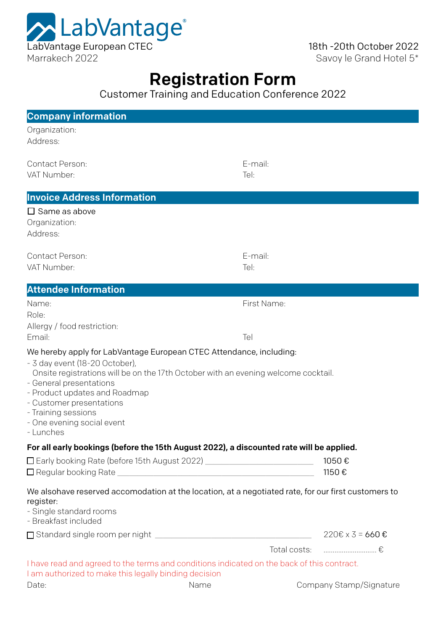

18th -20th October 2022 Savoy le Grand Hotel 5\*

# Registration Form

Customer Training and Education Conference 2022

| <b>Company information</b>                                                                                                                                                                                                                                                                                                                            |                    |                         |
|-------------------------------------------------------------------------------------------------------------------------------------------------------------------------------------------------------------------------------------------------------------------------------------------------------------------------------------------------------|--------------------|-------------------------|
| Organization:<br>Address:                                                                                                                                                                                                                                                                                                                             |                    |                         |
| <b>Contact Person:</b><br>VAT Number:                                                                                                                                                                                                                                                                                                                 | E-mail:<br>Tel:    |                         |
| <b>Invoice Address Information</b>                                                                                                                                                                                                                                                                                                                    |                    |                         |
| $\square$ Same as above<br>Organization:<br>Address:                                                                                                                                                                                                                                                                                                  |                    |                         |
| Contact Person:<br>VAT Number:                                                                                                                                                                                                                                                                                                                        | E-mail:<br>Tel:    |                         |
| <b>Attendee Information</b>                                                                                                                                                                                                                                                                                                                           |                    |                         |
| Name:<br>Role:<br>Allergy / food restriction:<br>Email:                                                                                                                                                                                                                                                                                               | First Name:<br>Tel |                         |
| We hereby apply for LabVantage European CTEC Attendance, including:<br>- 3 day event (18-20 October),<br>Onsite registrations will be on the 17th October with an evening welcome cocktail.<br>- General presentations<br>- Product updates and Roadmap<br>- Customer presentations<br>- Training sessions<br>- One evening social event<br>- Lunches |                    |                         |
| For all early bookings (before the 15th August 2022), a discounted rate will be applied.                                                                                                                                                                                                                                                              |                    |                         |
| □ Early booking Rate (before 15th August 2022) ________________________________                                                                                                                                                                                                                                                                       |                    | 1050€<br>1150€          |
| We alsohave reserved accomodation at the location, at a negotiated rate, for our first customers to<br>register:<br>- Single standard rooms<br>- Breakfast included                                                                                                                                                                                   |                    |                         |
|                                                                                                                                                                                                                                                                                                                                                       |                    |                         |
|                                                                                                                                                                                                                                                                                                                                                       |                    | Total costs:  €         |
| I have read and agreed to the terms and conditions indicated on the back of this contract.<br>I am authorized to make this legally binding decision                                                                                                                                                                                                   |                    |                         |
| Name<br>Date:                                                                                                                                                                                                                                                                                                                                         |                    | Company Stamp/Signature |